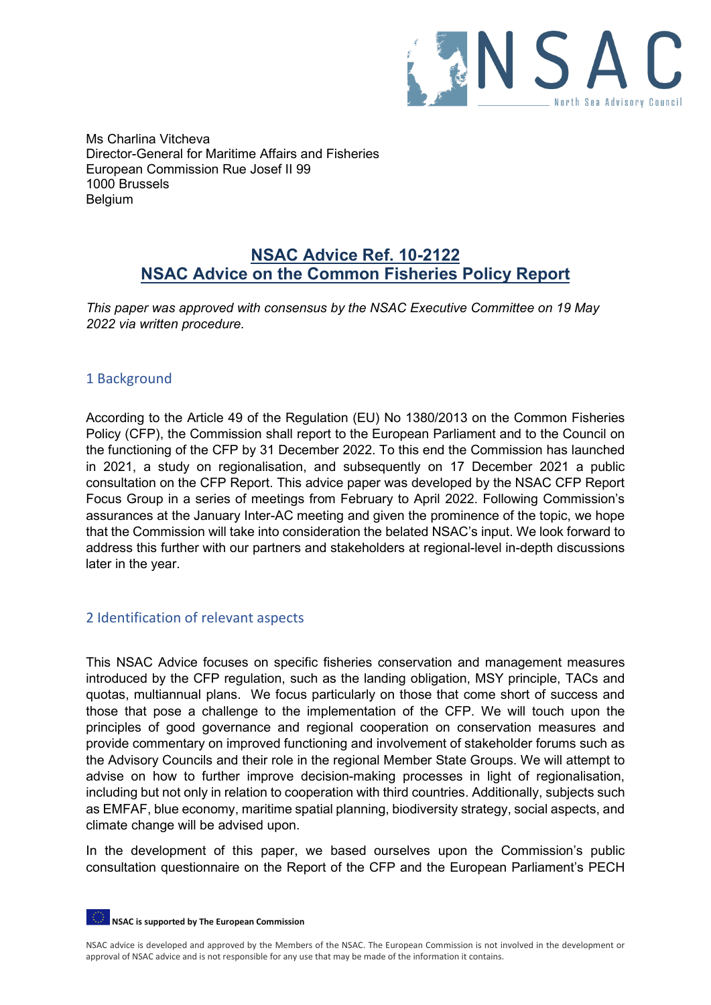

Ms Charlina Vitcheva Director-General for Maritime Affairs and Fisheries European Commission Rue Josef II 99 1000 Brussels Belgium

# **NSAC Advice Ref. 10-2122 NSAC Advice on the Common Fisheries Policy Report**

*This paper was approved with consensus by the NSAC Executive Committee on 19 May 2022 via written procedure.*

## 1 Background

According to the Article 49 of the Regulation (EU) No 1380/2013 on the Common Fisheries Policy (CFP), the Commission shall report to the European Parliament and to the Council on the functioning of the CFP by 31 December 2022. To this end the Commission has launched in 2021, a study on regionalisation, and subsequently on 17 December 2021 a public consultation on the CFP Report. This advice paper was developed by the NSAC CFP Report Focus Group in a series of meetings from February to April 2022. Following Commission's assurances at the January Inter-AC meeting and given the prominence of the topic, we hope that the Commission will take into consideration the belated NSAC's input. We look forward to address this further with our partners and stakeholders at regional-level in-depth discussions later in the year.

## 2 Identification of relevant aspects

This NSAC Advice focuses on specific fisheries conservation and management measures introduced by the CFP regulation, such as the landing obligation, MSY principle, TACs and quotas, multiannual plans. We focus particularly on those that come short of success and those that pose a challenge to the implementation of the CFP. We will touch upon the principles of good governance and regional cooperation on conservation measures and provide commentary on improved functioning and involvement of stakeholder forums such as the Advisory Councils and their role in the regional Member State Groups. We will attempt to advise on how to further improve decision-making processes in light of regionalisation, including but not only in relation to cooperation with third countries. Additionally, subjects such as EMFAF, blue economy, maritime spatial planning, biodiversity strategy, social aspects, and climate change will be advised upon.

In the development of this paper, we based ourselves upon the Commission's public consultation questionnaire on the Report of the CFP and the European Parliament's PECH

**NSAC is supported by The European Commission**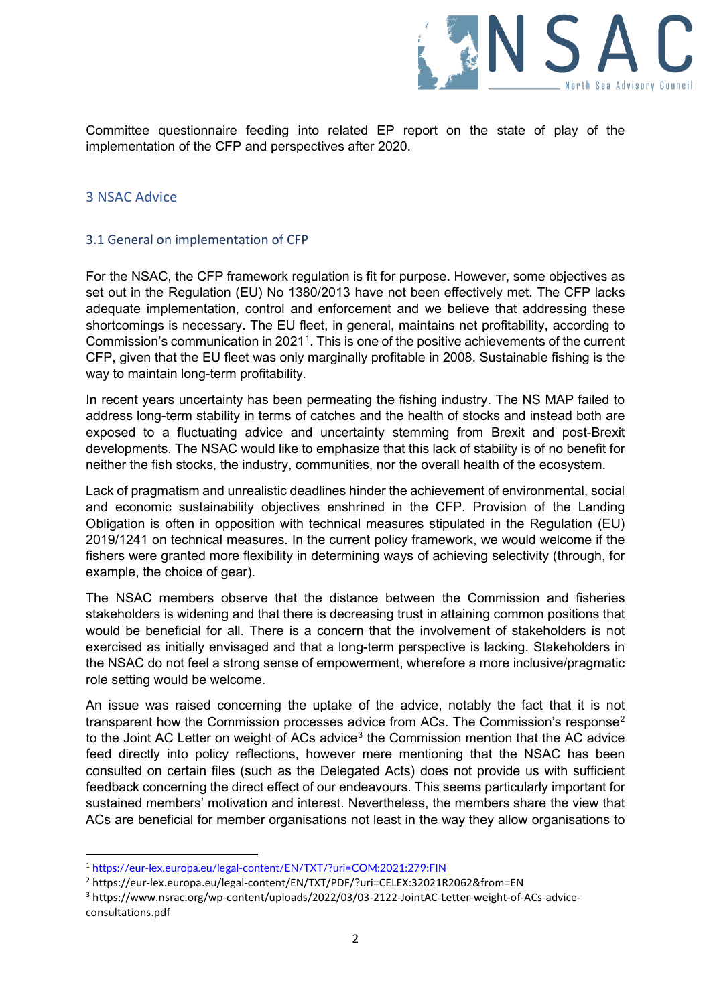

Committee questionnaire feeding into related EP report on the state of play of the implementation of the CFP and perspectives after 2020.

## 3 NSAC Advice

## 3.1 General on implementation of CFP

For the NSAC, the CFP framework regulation is fit for purpose. However, some objectives as set out in the Regulation (EU) No 1380/2013 have not been effectively met. The CFP lacks adequate implementation, control and enforcement and we believe that addressing these shortcomings is necessary. The EU fleet, in general, maintains net profitability, according to Commission's communication in 202[1](#page-1-0)<sup>1</sup>. This is one of the positive achievements of the current CFP, given that the EU fleet was only marginally profitable in 2008. Sustainable fishing is the way to maintain long-term profitability.

In recent years uncertainty has been permeating the fishing industry. The NS MAP failed to address long-term stability in terms of catches and the health of stocks and instead both are exposed to a fluctuating advice and uncertainty stemming from Brexit and post-Brexit developments. The NSAC would like to emphasize that this lack of stability is of no benefit for neither the fish stocks, the industry, communities, nor the overall health of the ecosystem.

Lack of pragmatism and unrealistic deadlines hinder the achievement of environmental, social and economic sustainability objectives enshrined in the CFP. Provision of the Landing Obligation is often in opposition with technical measures stipulated in the Regulation (EU) 2019/1241 on technical measures. In the current policy framework, we would welcome if the fishers were granted more flexibility in determining ways of achieving selectivity (through, for example, the choice of gear).

The NSAC members observe that the distance between the Commission and fisheries stakeholders is widening and that there is decreasing trust in attaining common positions that would be beneficial for all. There is a concern that the involvement of stakeholders is not exercised as initially envisaged and that a long-term perspective is lacking. Stakeholders in the NSAC do not feel a strong sense of empowerment, wherefore a more inclusive/pragmatic role setting would be welcome.

An issue was raised concerning the uptake of the advice, notably the fact that it is not transparent how the Commission processes advice from ACs. The Commission's respons[e2](#page-1-1) to the Joint AC Letter on weight of ACs advice<sup>[3](#page-1-2)</sup> the Commission mention that the AC advice feed directly into policy reflections, however mere mentioning that the NSAC has been consulted on certain files (such as the Delegated Acts) does not provide us with sufficient feedback concerning the direct effect of our endeavours. This seems particularly important for sustained members' motivation and interest. Nevertheless, the members share the view that ACs are beneficial for member organisations not least in the way they allow organisations to

<span id="page-1-0"></span><sup>1</sup> <https://eur-lex.europa.eu/legal-content/EN/TXT/?uri=COM:2021:279:FIN>

<span id="page-1-1"></span><sup>2</sup> https://eur-lex.europa.eu/legal-content/EN/TXT/PDF/?uri=CELEX:32021R2062&from=EN

<span id="page-1-2"></span><sup>3</sup> https://www.nsrac.org/wp-content/uploads/2022/03/03-2122-JointAC-Letter-weight-of-ACs-adviceconsultations.pdf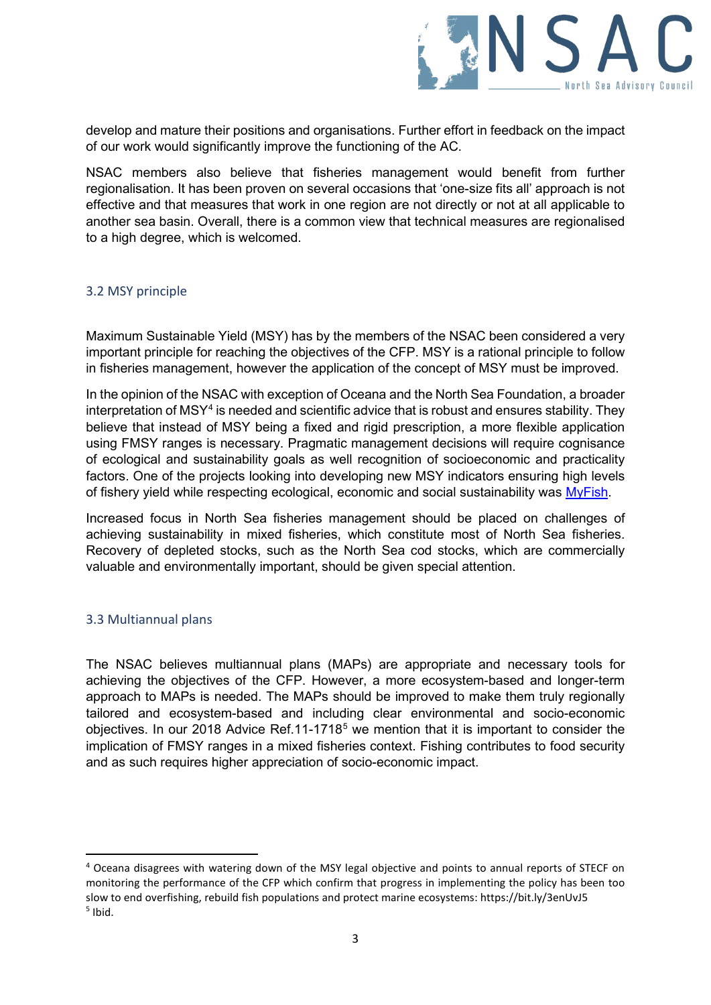

develop and mature their positions and organisations. Further effort in feedback on the impact of our work would significantly improve the functioning of the AC.

NSAC members also believe that fisheries management would benefit from further regionalisation. It has been proven on several occasions that 'one-size fits all' approach is not effective and that measures that work in one region are not directly or not at all applicable to another sea basin. Overall, there is a common view that technical measures are regionalised to a high degree, which is welcomed.

#### 3.2 MSY principle

Maximum Sustainable Yield (MSY) has by the members of the NSAC been considered a very important principle for reaching the objectives of the CFP. MSY is a rational principle to follow in fisheries management, however the application of the concept of MSY must be improved.

In the opinion of the NSAC with exception of Oceana and the North Sea Foundation, a broader interpretation of MSY<sup>[4](#page-2-0)</sup> is needed and scientific advice that is robust and ensures stability. They believe that instead of MSY being a fixed and rigid prescription, a more flexible application using FMSY ranges is necessary. Pragmatic management decisions will require cognisance of ecological and sustainability goals as well recognition of socioeconomic and practicality factors. One of the projects looking into developing new MSY indicators ensuring high levels of fishery yield while respecting ecological, economic and social sustainability was [MyFish.](https://www.myfishproject.eu/images/MYFISH/legacy_booklet/Myfish%20legacy%20Doc%20SEP2016%20LR.pdf)

Increased focus in North Sea fisheries management should be placed on challenges of achieving sustainability in mixed fisheries, which constitute most of North Sea fisheries. Recovery of depleted stocks, such as the North Sea cod stocks, which are commercially valuable and environmentally important, should be given special attention.

## 3.3 Multiannual plans

The NSAC believes multiannual plans (MAPs) are appropriate and necessary tools for achieving the objectives of the CFP. However, a more ecosystem-based and longer-term approach to MAPs is needed. The MAPs should be improved to make them truly regionally tailored and ecosystem-based and including clear environmental and socio-economic objectives. In our 2018 Advice Ref.11-1718<sup>[5](#page-2-1)</sup> we mention that it is important to consider the implication of FMSY ranges in a mixed fisheries context. Fishing contributes to food security and as such requires higher appreciation of socio-economic impact.

<span id="page-2-1"></span><span id="page-2-0"></span><sup>4</sup> Oceana disagrees with watering down of the MSY legal objective and points to annual reports of STECF on monitoring the performance of the CFP which confirm that progress in implementing the policy has been too slow to end overfishing, rebuild fish populations and protect marine ecosystems: https://bit.ly/3enUvJ5  $<sup>5</sup>$  Ibid.</sup>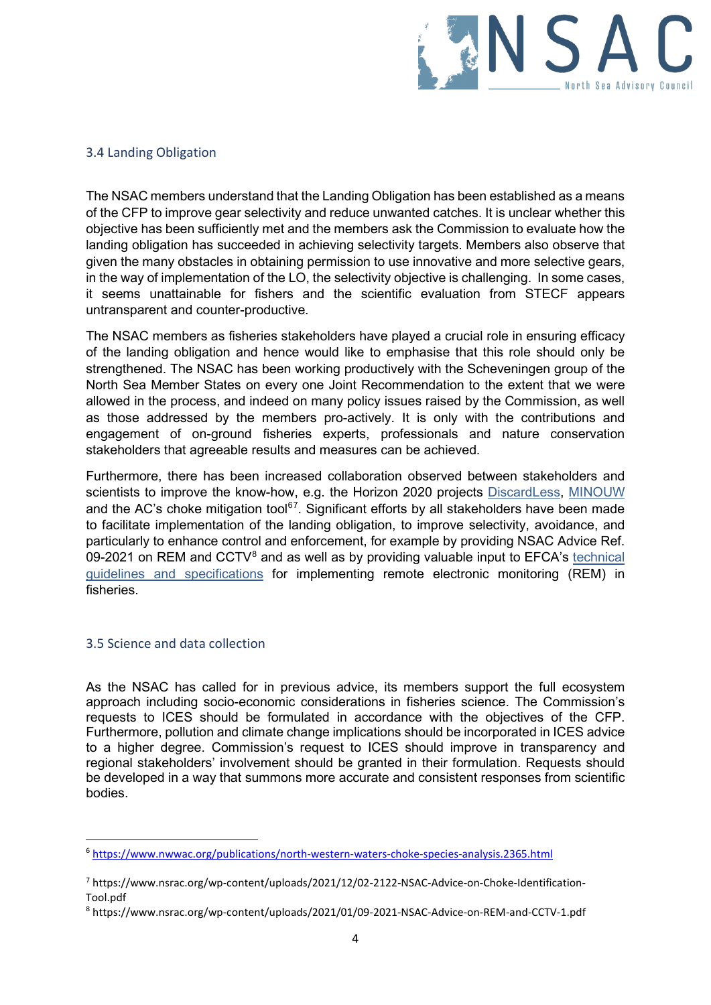

#### 3.4 Landing Obligation

The NSAC members understand that the Landing Obligation has been established as a means of the CFP to improve gear selectivity and reduce unwanted catches. It is unclear whether this objective has been sufficiently met and the members ask the Commission to evaluate how the landing obligation has succeeded in achieving selectivity targets. Members also observe that given the many obstacles in obtaining permission to use innovative and more selective gears, in the way of implementation of the LO, the selectivity objective is challenging. In some cases, it seems unattainable for fishers and the scientific evaluation from STECF appears untransparent and counter-productive.

The NSAC members as fisheries stakeholders have played a crucial role in ensuring efficacy of the landing obligation and hence would like to emphasise that this role should only be strengthened. The NSAC has been working productively with the Scheveningen group of the North Sea Member States on every one Joint Recommendation to the extent that we were allowed in the process, and indeed on many policy issues raised by the Commission, as well as those addressed by the members pro-actively. It is only with the contributions and engagement of on-ground fisheries experts, professionals and nature conservation stakeholders that agreeable results and measures can be achieved.

Furthermore, there has been increased collaboration observed between stakeholders and scientists to improve the know-how, e.g. the Horizon 2020 projects [DiscardLess,](http://www.discardless.eu/deliverables) [MINOUW](http://minouw-project.eu/policy-recommendations/) and the AC's choke mitigation tool<sup>67</sup>. Significant efforts by all stakeholders have been made to facilitate implementation of the landing obligation, to improve selectivity, avoidance, and particularly to enhance control and enforcement, for example by providing NSAC Advice Ref. 09-2021 on REM and  $CCTV<sup>8</sup>$  $CCTV<sup>8</sup>$  $CCTV<sup>8</sup>$  and as well as by providing valuable input to EFCA's technical [guidelines and specifications](https://www.efca.europa.eu/sites/default/files/Technical%20guidelines%20and%20specifications%20for%20the%20implementation%20of%20Remote%20Electronic%20Monitoring%20%28REM%29%20in%20EU%20fisheries.pdf) for implementing remote electronic monitoring (REM) in fisheries.

#### 3.5 Science and data collection

As the NSAC has called for in previous advice, its members support the full ecosystem approach including socio-economic considerations in fisheries science. The Commission's requests to ICES should be formulated in accordance with the objectives of the CFP. Furthermore, pollution and climate change implications should be incorporated in ICES advice to a higher degree. Commission's request to ICES should improve in transparency and regional stakeholders' involvement should be granted in their formulation. Requests should be developed in a way that summons more accurate and consistent responses from scientific bodies.

<span id="page-3-0"></span><sup>6</sup> <https://www.nwwac.org/publications/north-western-waters-choke-species-analysis.2365.html>

<span id="page-3-1"></span><sup>7</sup> https://www.nsrac.org/wp-content/uploads/2021/12/02-2122-NSAC-Advice-on-Choke-Identification-Tool.pdf

<span id="page-3-2"></span><sup>8</sup> https://www.nsrac.org/wp-content/uploads/2021/01/09-2021-NSAC-Advice-on-REM-and-CCTV-1.pdf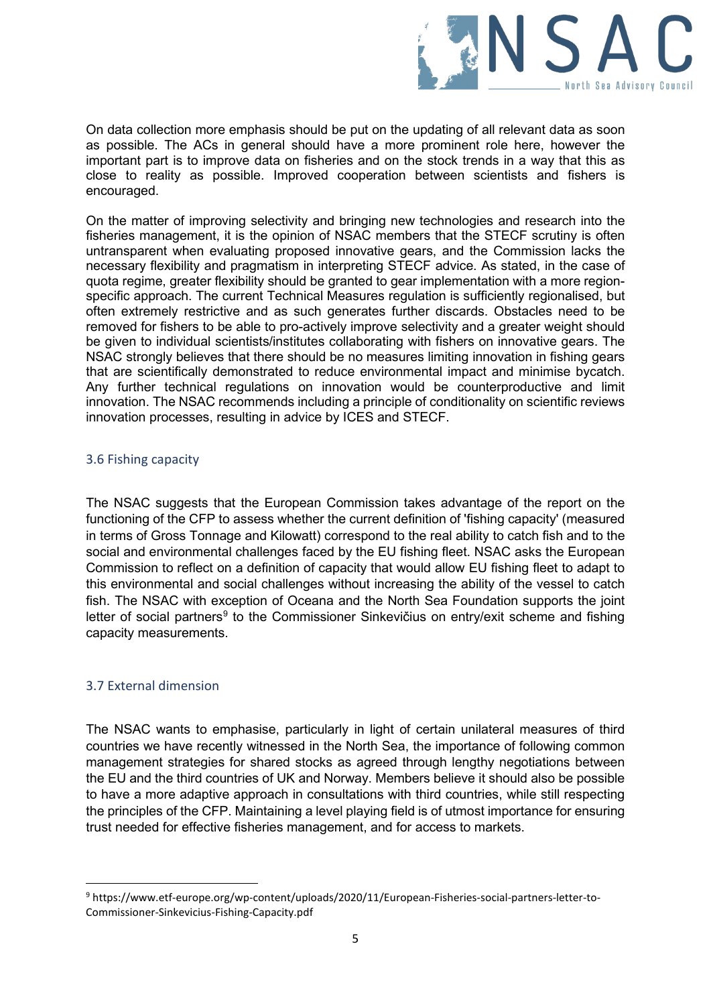

On data collection more emphasis should be put on the updating of all relevant data as soon as possible. The ACs in general should have a more prominent role here, however the important part is to improve data on fisheries and on the stock trends in a way that this as close to reality as possible. Improved cooperation between scientists and fishers is encouraged.

On the matter of improving selectivity and bringing new technologies and research into the fisheries management, it is the opinion of NSAC members that the STECF scrutiny is often untransparent when evaluating proposed innovative gears, and the Commission lacks the necessary flexibility and pragmatism in interpreting STECF advice. As stated, in the case of quota regime, greater flexibility should be granted to gear implementation with a more regionspecific approach. The current Technical Measures regulation is sufficiently regionalised, but often extremely restrictive and as such generates further discards. Obstacles need to be removed for fishers to be able to pro-actively improve selectivity and a greater weight should be given to individual scientists/institutes collaborating with fishers on innovative gears. The NSAC strongly believes that there should be no measures limiting innovation in fishing gears that are scientifically demonstrated to reduce environmental impact and minimise bycatch. Any further technical regulations on innovation would be counterproductive and limit innovation. The NSAC recommends including a principle of conditionality on scientific reviews innovation processes, resulting in advice by ICES and STECF.

#### 3.6 Fishing capacity

The NSAC suggests that the European Commission takes advantage of the report on the functioning of the CFP to assess whether the current definition of 'fishing capacity' (measured in terms of Gross Tonnage and Kilowatt) correspond to the real ability to catch fish and to the social and environmental challenges faced by the EU fishing fleet. NSAC asks the European Commission to reflect on a definition of capacity that would allow EU fishing fleet to adapt to this environmental and social challenges without increasing the ability of the vessel to catch fish. The NSAC with exception of Oceana and the North Sea Foundation supports the joint letter of social partners<sup>[9](#page-4-0)</sup> to the Commissioner Sinkevičius on entry/exit scheme and fishing capacity measurements.

## 3.7 External dimension

The NSAC wants to emphasise, particularly in light of certain unilateral measures of third countries we have recently witnessed in the North Sea, the importance of following common management strategies for shared stocks as agreed through lengthy negotiations between the EU and the third countries of UK and Norway. Members believe it should also be possible to have a more adaptive approach in consultations with third countries, while still respecting the principles of the CFP. Maintaining a level playing field is of utmost importance for ensuring trust needed for effective fisheries management, and for access to markets.

<span id="page-4-0"></span><sup>9</sup> https://www.etf-europe.org/wp-content/uploads/2020/11/European-Fisheries-social-partners-letter-to-Commissioner-Sinkevicius-Fishing-Capacity.pdf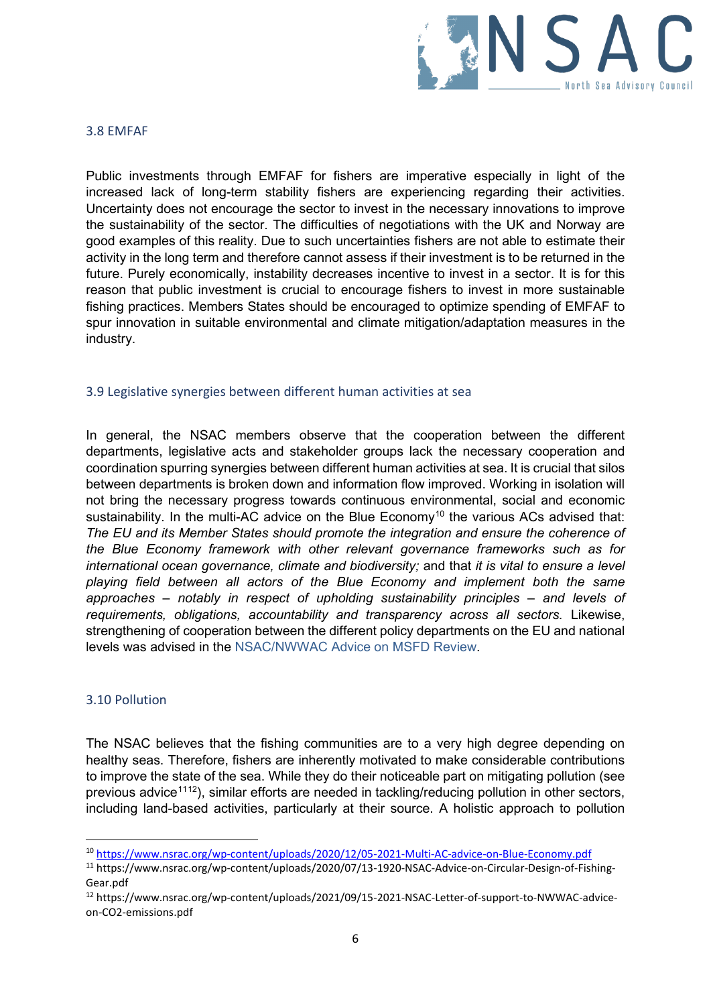

#### 3.8 EMFAF

Public investments through EMFAF for fishers are imperative especially in light of the increased lack of long-term stability fishers are experiencing regarding their activities. Uncertainty does not encourage the sector to invest in the necessary innovations to improve the sustainability of the sector. The difficulties of negotiations with the UK and Norway are good examples of this reality. Due to such uncertainties fishers are not able to estimate their activity in the long term and therefore cannot assess if their investment is to be returned in the future. Purely economically, instability decreases incentive to invest in a sector. It is for this reason that public investment is crucial to encourage fishers to invest in more sustainable fishing practices. Members States should be encouraged to optimize spending of EMFAF to spur innovation in suitable environmental and climate mitigation/adaptation measures in the industry.

#### 3.9 Legislative synergies between different human activities at sea

In general, the NSAC members observe that the cooperation between the different departments, legislative acts and stakeholder groups lack the necessary cooperation and coordination spurring synergies between different human activities at sea. It is crucial that silos between departments is broken down and information flow improved. Working in isolation will not bring the necessary progress towards continuous environmental, social and economic sustainability. In the multi-AC advice on the Blue Economy<sup>[10](#page-5-0)</sup> the various ACs advised that: *The EU and its Member States should promote the integration and ensure the coherence of the Blue Economy framework with other relevant governance frameworks such as for international ocean governance, climate and biodiversity;* and that *it is vital to ensure a level playing field between all actors of the Blue Economy and implement both the same approaches – notably in respect of upholding sustainability principles – and levels of requirements, obligations, accountability and transparency across all sectors.* Likewise, strengthening of cooperation between the different policy departments on the EU and national levels was advised in the NSAC/NWWAC [Advice on MSFD Review.](https://www.nsrac.org/wp-content/uploads/2022/03/05-2122-NSAC-NWWAC-Advice-on-MSFD-review_final.pdf)

#### 3.10 Pollution

The NSAC believes that the fishing communities are to a very high degree depending on healthy seas. Therefore, fishers are inherently motivated to make considerable contributions to improve the state of the sea. While they do their noticeable part on mitigating pollution (see previous advice<sup>[11](#page-5-1)[12](#page-5-2)</sup>), similar efforts are needed in tackling/reducing pollution in other sectors, including land-based activities, particularly at their source. A holistic approach to pollution

<span id="page-5-0"></span><sup>10</sup> <https://www.nsrac.org/wp-content/uploads/2020/12/05-2021-Multi-AC-advice-on-Blue-Economy.pdf>

<span id="page-5-1"></span><sup>11</sup> https://www.nsrac.org/wp-content/uploads/2020/07/13-1920-NSAC-Advice-on-Circular-Design-of-Fishing-Gear.pdf

<span id="page-5-2"></span><sup>12</sup> https://www.nsrac.org/wp-content/uploads/2021/09/15-2021-NSAC-Letter-of-support-to-NWWAC-adviceon-CO2-emissions.pdf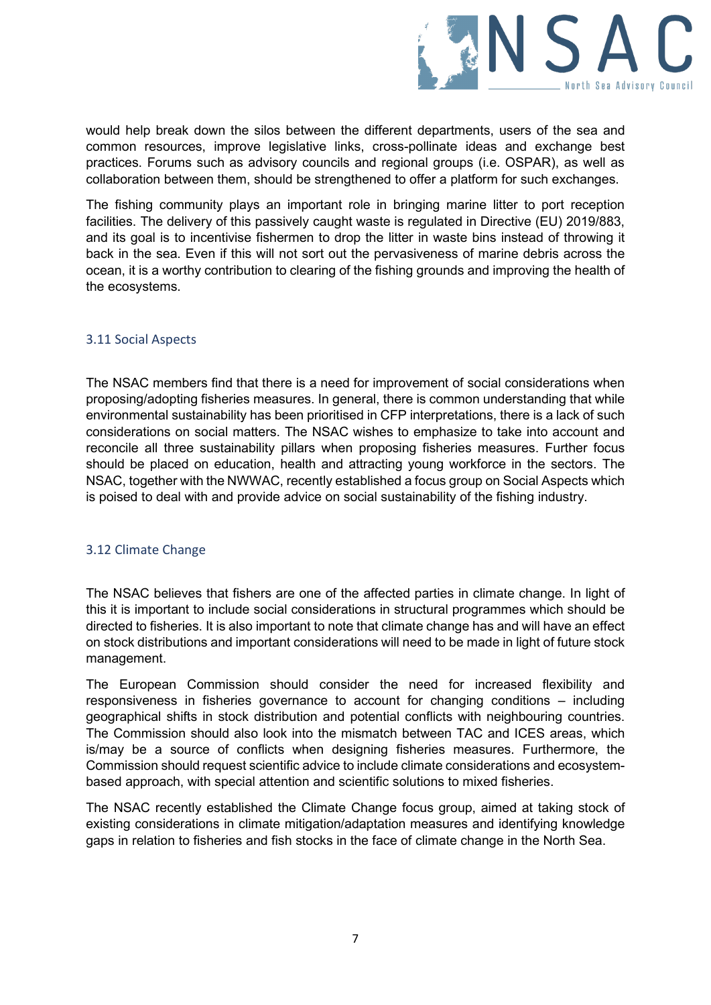

would help break down the silos between the different departments, users of the sea and common resources, improve legislative links, cross-pollinate ideas and exchange best practices. Forums such as advisory councils and regional groups (i.e. OSPAR), as well as collaboration between them, should be strengthened to offer a platform for such exchanges.

The fishing community plays an important role in bringing marine litter to port reception facilities. The delivery of this passively caught waste is regulated in Directive (EU) 2019/883, and its goal is to incentivise fishermen to drop the litter in waste bins instead of throwing it back in the sea. Even if this will not sort out the pervasiveness of marine debris across the ocean, it is a worthy contribution to clearing of the fishing grounds and improving the health of the ecosystems.

## 3.11 Social Aspects

The NSAC members find that there is a need for improvement of social considerations when proposing/adopting fisheries measures. In general, there is common understanding that while environmental sustainability has been prioritised in CFP interpretations, there is a lack of such considerations on social matters. The NSAC wishes to emphasize to take into account and reconcile all three sustainability pillars when proposing fisheries measures. Further focus should be placed on education, health and attracting young workforce in the sectors. The NSAC, together with the NWWAC, recently established a focus group on Social Aspects which is poised to deal with and provide advice on social sustainability of the fishing industry.

## 3.12 Climate Change

The NSAC believes that fishers are one of the affected parties in climate change. In light of this it is important to include social considerations in structural programmes which should be directed to fisheries. It is also important to note that climate change has and will have an effect on stock distributions and important considerations will need to be made in light of future stock management.

The European Commission should consider the need for increased flexibility and responsiveness in fisheries governance to account for changing conditions – including geographical shifts in stock distribution and potential conflicts with neighbouring countries. The Commission should also look into the mismatch between TAC and ICES areas, which is/may be a source of conflicts when designing fisheries measures. Furthermore, the Commission should request scientific advice to include climate considerations and ecosystembased approach, with special attention and scientific solutions to mixed fisheries.

The NSAC recently established the Climate Change focus group, aimed at taking stock of existing considerations in climate mitigation/adaptation measures and identifying knowledge gaps in relation to fisheries and fish stocks in the face of climate change in the North Sea.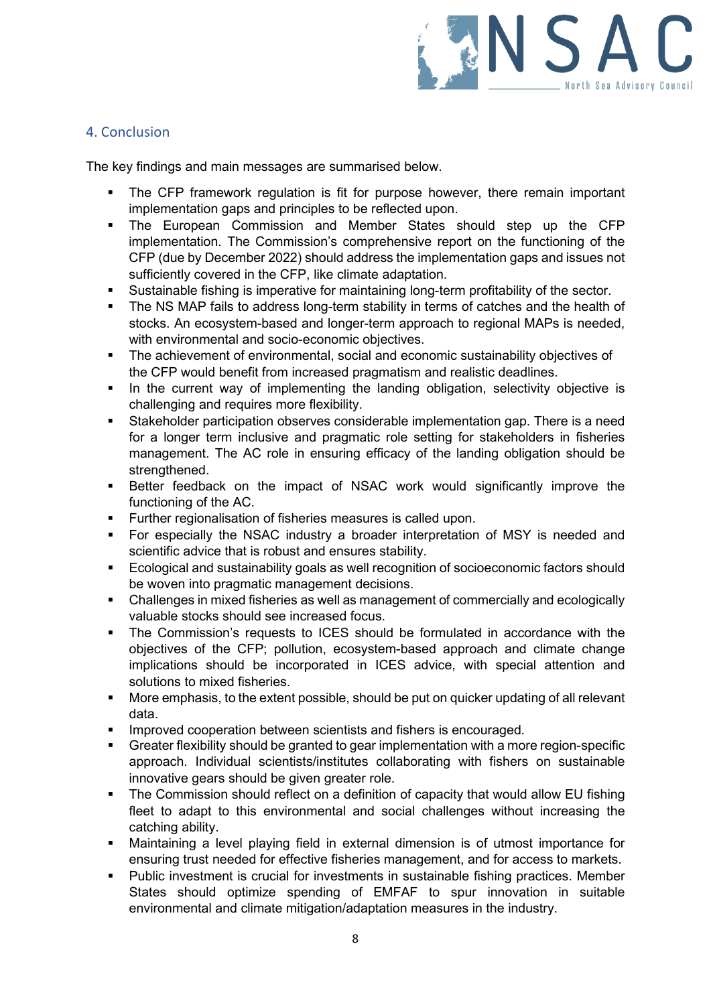

# 4. Conclusion

The key findings and main messages are summarised below.

- The CFP framework regulation is fit for purpose however, there remain important implementation gaps and principles to be reflected upon.
- The European Commission and Member States should step up the CFP implementation. The Commission's comprehensive report on the functioning of the CFP (due by December 2022) should address the implementation gaps and issues not sufficiently covered in the CFP, like climate adaptation.
- Sustainable fishing is imperative for maintaining long-term profitability of the sector.
- The NS MAP fails to address long-term stability in terms of catches and the health of stocks. An ecosystem-based and longer-term approach to regional MAPs is needed, with environmental and socio-economic objectives.
- The achievement of environmental, social and economic sustainability objectives of the CFP would benefit from increased pragmatism and realistic deadlines.
- In the current way of implementing the landing obligation, selectivity objective is challenging and requires more flexibility.
- Stakeholder participation observes considerable implementation gap. There is a need for a longer term inclusive and pragmatic role setting for stakeholders in fisheries management. The AC role in ensuring efficacy of the landing obligation should be strengthened.
- **Better feedback on the impact of NSAC work would significantly improve the** functioning of the AC.
- **Further regionalisation of fisheries measures is called upon.**
- For especially the NSAC industry a broader interpretation of MSY is needed and scientific advice that is robust and ensures stability.
- **Ecological and sustainability goals as well recognition of socioeconomic factors should** be woven into pragmatic management decisions.
- Challenges in mixed fisheries as well as management of commercially and ecologically valuable stocks should see increased focus.
- The Commission's requests to ICES should be formulated in accordance with the objectives of the CFP; pollution, ecosystem-based approach and climate change implications should be incorporated in ICES advice, with special attention and solutions to mixed fisheries.
- **More emphasis, to the extent possible, should be put on quicker updating of all relevant** data.
- **IMPROVED COOPERATION DETAINED SCIENTISTS AND FISHER IS ENCOURAGED.**
- Greater flexibility should be granted to gear implementation with a more region-specific approach. Individual scientists/institutes collaborating with fishers on sustainable innovative gears should be given greater role.
- The Commission should reflect on a definition of capacity that would allow EU fishing fleet to adapt to this environmental and social challenges without increasing the catching ability.
- Maintaining a level playing field in external dimension is of utmost importance for ensuring trust needed for effective fisheries management, and for access to markets.
- Public investment is crucial for investments in sustainable fishing practices. Member States should optimize spending of EMFAF to spur innovation in suitable environmental and climate mitigation/adaptation measures in the industry.